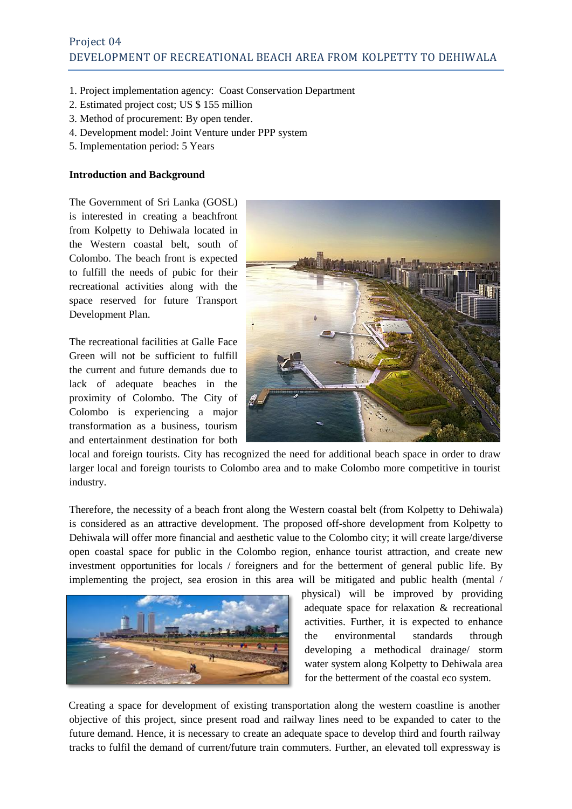- 1. Project implementation agency: Coast Conservation Department
- 2. Estimated project cost; US \$ 155 million
- 3. Method of procurement: By open tender.
- 4. Development model: Joint Venture under PPP system
- 5. Implementation period: 5 Years

#### **Introduction and Background**

The Government of Sri Lanka (GOSL) is interested in creating a beachfront from Kolpetty to Dehiwala located in the Western coastal belt, south of Colombo. The beach front is expected to fulfill the needs of pubic for their recreational activities along with the space reserved for future Transport Development Plan.

The recreational facilities at Galle Face Green will not be sufficient to fulfill the current and future demands due to lack of adequate beaches in the proximity of Colombo. The City of Colombo is experiencing a major transformation as a business, tourism and entertainment destination for both



local and foreign tourists. City has recognized the need for additional beach space in order to draw larger local and foreign tourists to Colombo area and to make Colombo more competitive in tourist industry.

Therefore, the necessity of a beach front along the Western coastal belt (from Kolpetty to Dehiwala) is considered as an attractive development. The proposed off-shore development from Kolpetty to Dehiwala will offer more financial and aesthetic value to the Colombo city; it will create large/diverse open coastal space for public in the Colombo region, enhance tourist attraction, and create new investment opportunities for locals / foreigners and for the betterment of general public life. By implementing the project, sea erosion in this area will be mitigated and public health (mental /



physical) will be improved by providing adequate space for relaxation & recreational activities. Further, it is expected to enhance the environmental standards through developing a methodical drainage/ storm water system along Kolpetty to Dehiwala area for the betterment of the coastal eco system.

Creating a space for development of existing transportation along the western coastline is another objective of this project, since present road and railway lines need to be expanded to cater to the future demand. Hence, it is necessary to create an adequate space to develop third and fourth railway tracks to fulfil the demand of current/future train commuters. Further, an elevated toll expressway is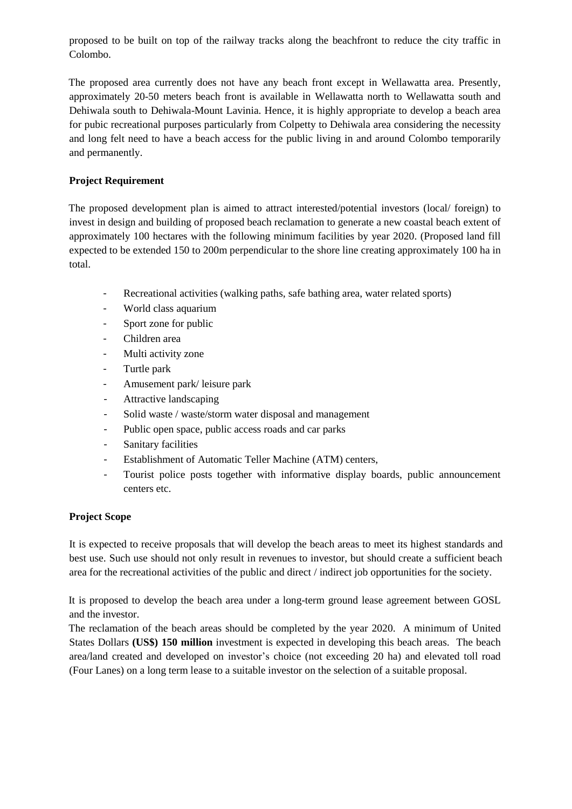proposed to be built on top of the railway tracks along the beachfront to reduce the city traffic in Colombo.

The proposed area currently does not have any beach front except in Wellawatta area. Presently, approximately 20-50 meters beach front is available in Wellawatta north to Wellawatta south and Dehiwala south to Dehiwala-Mount Lavinia. Hence, it is highly appropriate to develop a beach area for pubic recreational purposes particularly from Colpetty to Dehiwala area considering the necessity and long felt need to have a beach access for the public living in and around Colombo temporarily and permanently.

### **Project Requirement**

The proposed development plan is aimed to attract interested/potential investors (local/ foreign) to invest in design and building of proposed beach reclamation to generate a new coastal beach extent of approximately 100 hectares with the following minimum facilities by year 2020. (Proposed land fill expected to be extended 150 to 200m perpendicular to the shore line creating approximately 100 ha in total.

- Recreational activities (walking paths, safe bathing area, water related sports)
- World class aquarium
- Sport zone for public
- Children area
- Multi activity zone
- Turtle park
- Amusement park/ leisure park
- Attractive landscaping
- Solid waste / waste/storm water disposal and management
- Public open space, public access roads and car parks
- Sanitary facilities
- Establishment of Automatic Teller Machine (ATM) centers,
- Tourist police posts together with informative display boards, public announcement centers etc.

#### **Project Scope**

It is expected to receive proposals that will develop the beach areas to meet its highest standards and best use. Such use should not only result in revenues to investor, but should create a sufficient beach area for the recreational activities of the public and direct / indirect job opportunities for the society.

It is proposed to develop the beach area under a long-term ground lease agreement between GOSL and the investor.

The reclamation of the beach areas should be completed by the year 2020. A minimum of United States Dollars **(US\$) 150 million** investment is expected in developing this beach areas. The beach area/land created and developed on investor's choice (not exceeding 20 ha) and elevated toll road (Four Lanes) on a long term lease to a suitable investor on the selection of a suitable proposal.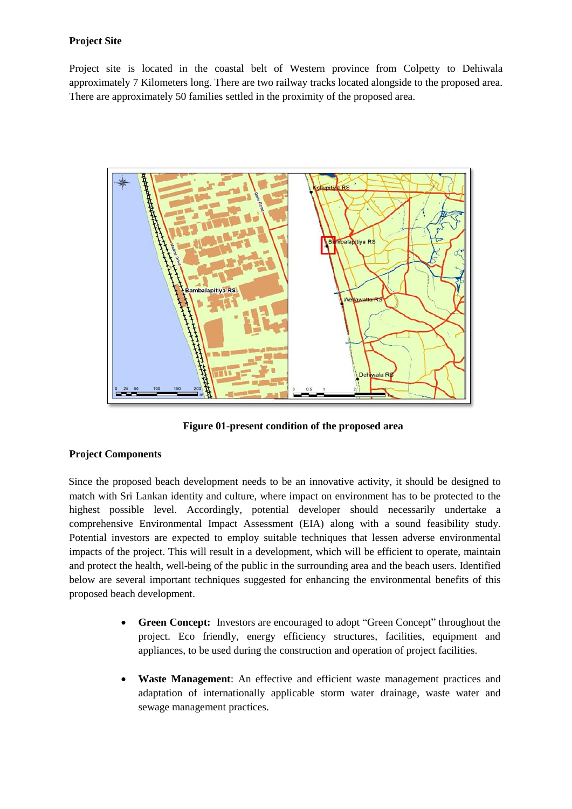## **Project Site**

Project site is located in the coastal belt of Western province from Colpetty to Dehiwala approximately 7 Kilometers long. There are two railway tracks located alongside to the proposed area. There are approximately 50 families settled in the proximity of the proposed area.



**Figure 01-present condition of the proposed area**

# **Project Components**

Since the proposed beach development needs to be an innovative activity, it should be designed to match with Sri Lankan identity and culture, where impact on environment has to be protected to the highest possible level. Accordingly, potential developer should necessarily undertake a comprehensive Environmental Impact Assessment (EIA) along with a sound feasibility study. Potential investors are expected to employ suitable techniques that lessen adverse environmental impacts of the project. This will result in a development, which will be efficient to operate, maintain and protect the health, well-being of the public in the surrounding area and the beach users. Identified below are several important techniques suggested for enhancing the environmental benefits of this proposed beach development.

- **Green Concept:** Investors are encouraged to adopt "Green Concept" throughout the project. Eco friendly, energy efficiency structures, facilities, equipment and appliances, to be used during the construction and operation of project facilities.
- **Waste Management**: An effective and efficient waste management practices and adaptation of internationally applicable storm water drainage, waste water and sewage management practices.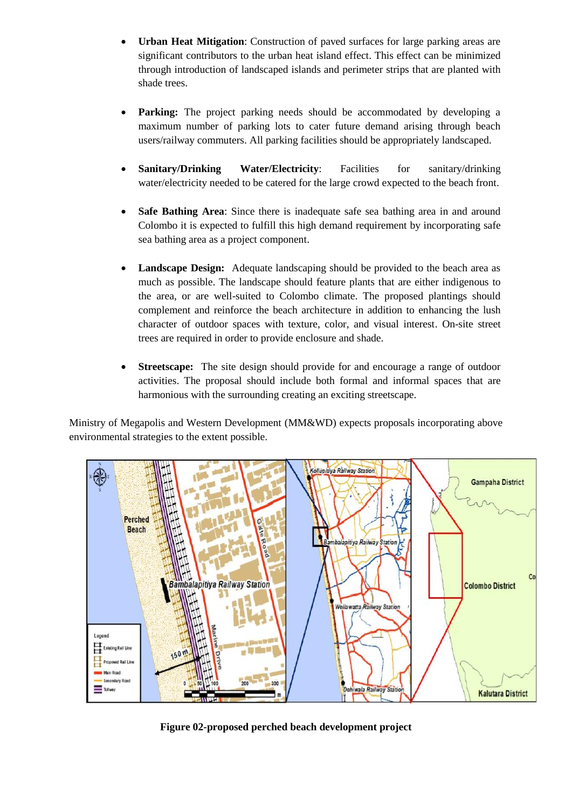- **Urban Heat Mitigation**: Construction of paved surfaces for large parking areas are significant contributors to the urban heat island effect. This effect can be minimized through introduction of landscaped islands and perimeter strips that are planted with shade trees.
- **Parking:** The project parking needs should be accommodated by developing a maximum number of parking lots to cater future demand arising through beach users/railway commuters. All parking facilities should be appropriately landscaped.
- **Sanitary/Drinking Water/Electricity**: Facilities for sanitary/drinking water/electricity needed to be catered for the large crowd expected to the beach front.
- **Safe Bathing Area**: Since there is inadequate safe sea bathing area in and around Colombo it is expected to fulfill this high demand requirement by incorporating safe sea bathing area as a project component.
- **Landscape Design:** Adequate landscaping should be provided to the beach area as much as possible. The landscape should feature plants that are either indigenous to the area, or are well-suited to Colombo climate. The proposed plantings should complement and reinforce the beach architecture in addition to enhancing the lush character of outdoor spaces with texture, color, and visual interest. On-site street trees are required in order to provide enclosure and shade.
- **Streetscape:** The site design should provide for and encourage a range of outdoor activities. The proposal should include both formal and informal spaces that are harmonious with the surrounding creating an exciting streetscape.

Ministry of Megapolis and Western Development (MM&WD) expects proposals incorporating above environmental strategies to the extent possible.



**Figure 02-proposed perched beach development project**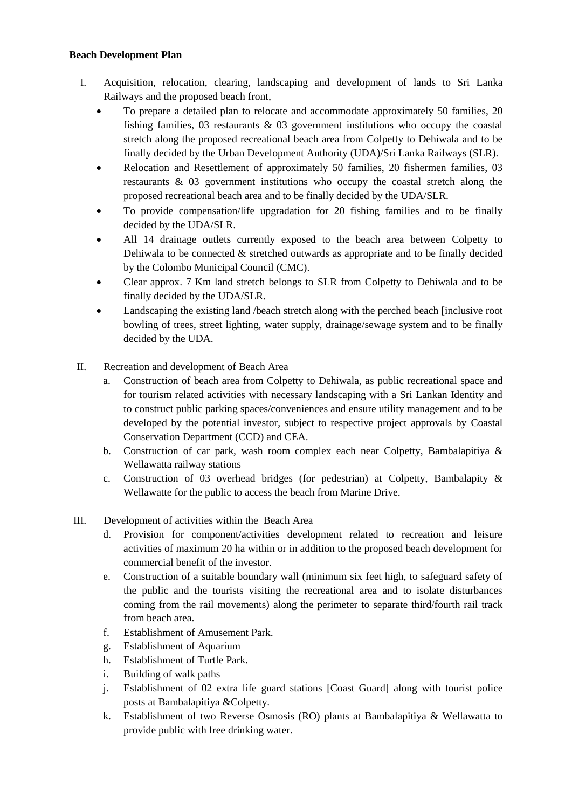### **Beach Development Plan**

- I. Acquisition, relocation, clearing, landscaping and development of lands to Sri Lanka Railways and the proposed beach front,
	- To prepare a detailed plan to relocate and accommodate approximately 50 families, 20 fishing families,  $\overline{03}$  restaurants &  $\overline{03}$  government institutions who occupy the coastal stretch along the proposed recreational beach area from Colpetty to Dehiwala and to be finally decided by the Urban Development Authority (UDA)/Sri Lanka Railways (SLR).
	- Relocation and Resettlement of approximately 50 families, 20 fishermen families, 03 restaurants & 03 government institutions who occupy the coastal stretch along the proposed recreational beach area and to be finally decided by the UDA/SLR.
	- To provide compensation/life upgradation for 20 fishing families and to be finally decided by the UDA/SLR.
	- All 14 drainage outlets currently exposed to the beach area between Colpetty to Dehiwala to be connected & stretched outwards as appropriate and to be finally decided by the Colombo Municipal Council (CMC).
	- Clear approx. 7 Km land stretch belongs to SLR from Colpetty to Dehiwala and to be finally decided by the UDA/SLR.
	- Landscaping the existing land /beach stretch along with the perched beach [inclusive root bowling of trees, street lighting, water supply, drainage/sewage system and to be finally decided by the UDA.
- II. Recreation and development of Beach Area
	- a. Construction of beach area from Colpetty to Dehiwala, as public recreational space and for tourism related activities with necessary landscaping with a Sri Lankan Identity and to construct public parking spaces/conveniences and ensure utility management and to be developed by the potential investor, subject to respective project approvals by Coastal Conservation Department (CCD) and CEA.
	- b. Construction of car park, wash room complex each near Colpetty, Bambalapitiya & Wellawatta railway stations
	- c. Construction of 03 overhead bridges (for pedestrian) at Colpetty, Bambalapity & Wellawatte for the public to access the beach from Marine Drive.
- III. Development of activities within the Beach Area
	- d. Provision for component/activities development related to recreation and leisure activities of maximum 20 ha within or in addition to the proposed beach development for commercial benefit of the investor.
	- e. Construction of a suitable boundary wall (minimum six feet high, to safeguard safety of the public and the tourists visiting the recreational area and to isolate disturbances coming from the rail movements) along the perimeter to separate third/fourth rail track from beach area.
	- f. Establishment of Amusement Park.
	- g. Establishment of Aquarium
	- h. Establishment of Turtle Park.
	- i. Building of walk paths
	- j. Establishment of 02 extra life guard stations [Coast Guard] along with tourist police posts at Bambalapitiya &Colpetty.
	- k. Establishment of two Reverse Osmosis (RO) plants at Bambalapitiya & Wellawatta to provide public with free drinking water.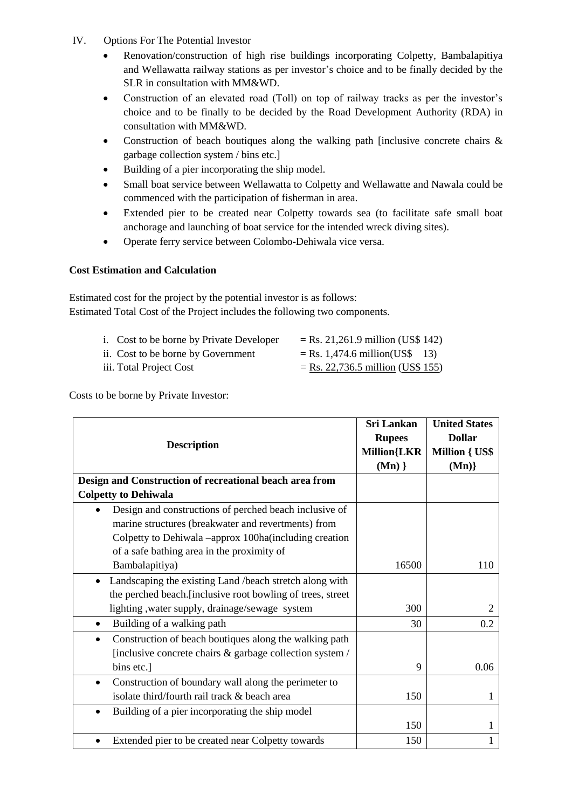- IV. Options For The Potential Investor
	- Renovation/construction of high rise buildings incorporating Colpetty, Bambalapitiya and Wellawatta railway stations as per investor's choice and to be finally decided by the SLR in consultation with MM&WD.
	- Construction of an elevated road (Toll) on top of railway tracks as per the investor's choice and to be finally to be decided by the Road Development Authority (RDA) in consultation with MM&WD.
	- Construction of beach boutiques along the walking path [inclusive concrete chairs & garbage collection system / bins etc.]
	- Building of a pier incorporating the ship model.
	- Small boat service between Wellawatta to Colpetty and Wellawatte and Nawala could be commenced with the participation of fisherman in area.
	- Extended pier to be created near Colpetty towards sea (to facilitate safe small boat anchorage and launching of boat service for the intended wreck diving sites).
	- Operate ferry service between Colombo-Dehiwala vice versa.

# **Cost Estimation and Calculation**

Estimated cost for the project by the potential investor is as follows: Estimated Total Cost of the Project includes the following two components.

- i. Cost to be borne by Private Developer  $=$  Rs. 21,261.9 million (US\$ 142) ii. Cost to be borne by Government  $=$  Rs. 1,474.6 million(US\$ 13)
- iii. Total Project Cost  $=$  Rs. 22,736.5 million (US\$ 155)
- 

Costs to be borne by Private Investor:

| <b>Description</b>                                                   | <b>Sri Lankan</b>  | <b>United States</b>  |
|----------------------------------------------------------------------|--------------------|-----------------------|
|                                                                      | <b>Rupees</b>      | <b>Dollar</b>         |
|                                                                      | <b>Million{LKR</b> | <b>Million { US\$</b> |
|                                                                      | $(\mathbf{Mn})\}$  | (Mn)                  |
| Design and Construction of recreational beach area from              |                    |                       |
| <b>Colpetty to Dehiwala</b>                                          |                    |                       |
| Design and constructions of perched beach inclusive of<br>$\bullet$  |                    |                       |
| marine structures (breakwater and revertments) from                  |                    |                       |
| Colpetty to Dehiwala -approx 100ha(including creation                |                    |                       |
| of a safe bathing area in the proximity of                           |                    |                       |
| Bambalapitiya)                                                       | 16500              | 110                   |
| Landscaping the existing Land /beach stretch along with<br>$\bullet$ |                    |                       |
| the perched beach. [inclusive root bowling of trees, street          |                    |                       |
| lighting , water supply, drainage/sewage system                      | 300                | 2                     |
| Building of a walking path<br>$\bullet$                              | 30                 | 0.2                   |
| Construction of beach boutiques along the walking path<br>$\bullet$  |                    |                       |
| [inclusive concrete chairs & garbage collection system /             |                    |                       |
| bins etc.]                                                           | 9                  | 0.06                  |
| Construction of boundary wall along the perimeter to<br>$\bullet$    |                    |                       |
| isolate third/fourth rail track & beach area                         | 150                | 1                     |
| Building of a pier incorporating the ship model<br>$\bullet$         |                    |                       |
|                                                                      | 150                | 1                     |
| Extended pier to be created near Colpetty towards                    | 150                |                       |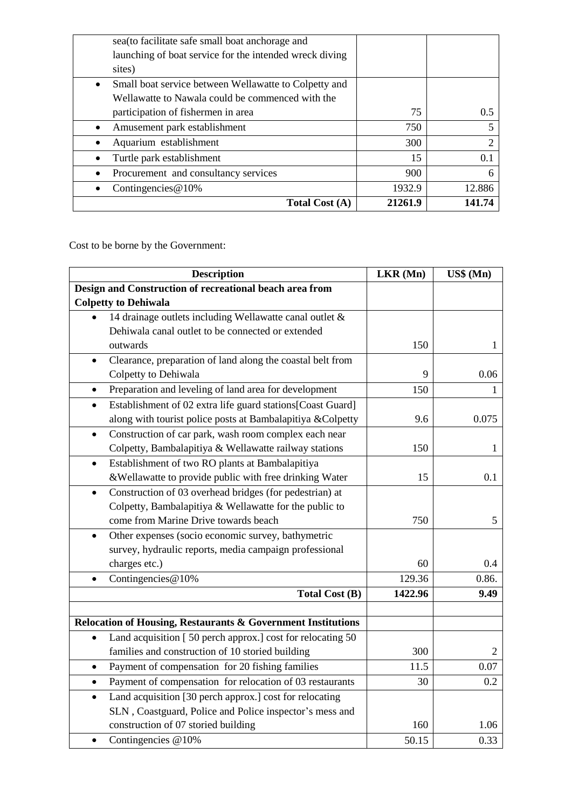| <b>Total Cost (A)</b>                                              | 21261.9 | 141.74 |
|--------------------------------------------------------------------|---------|--------|
| Contingencies $@10\%$                                              | 1932.9  | 12.886 |
| Procurement and consultancy services                               | 900     | 6      |
| Turtle park establishment                                          | 15      | 0.1    |
| Aquarium establishment<br>٠                                        | 300     |        |
| Amusement park establishment<br>$\bullet$                          | 750     |        |
| participation of fishermen in area                                 | 75      | 0.5    |
| Wellawatte to Nawala could be commenced with the                   |         |        |
| Small boat service between Wellawatte to Colpetty and<br>$\bullet$ |         |        |
| sites)                                                             |         |        |
| launching of boat service for the intended wreck diving            |         |        |
| sea (to facilitate safe small boat anchorage and                   |         |        |

Cost to be borne by the Government:

| <b>Description</b>                                                      | LKR (Mn) | US\$ (Mn)      |
|-------------------------------------------------------------------------|----------|----------------|
| Design and Construction of recreational beach area from                 |          |                |
| <b>Colpetty to Dehiwala</b>                                             |          |                |
| 14 drainage outlets including Wellawatte canal outlet &                 |          |                |
| Dehiwala canal outlet to be connected or extended                       |          |                |
| outwards                                                                | 150      | 1              |
| Clearance, preparation of land along the coastal belt from<br>$\bullet$ |          |                |
| Colpetty to Dehiwala                                                    | 9        | 0.06           |
| Preparation and leveling of land area for development<br>$\bullet$      | 150      | 1              |
| Establishment of 02 extra life guard stations[Coast Guard]<br>$\bullet$ |          |                |
| along with tourist police posts at Bambalapitiya &Colpetty              | 9.6      | 0.075          |
| Construction of car park, wash room complex each near<br>$\bullet$      |          |                |
| Colpetty, Bambalapitiya & Wellawatte railway stations                   | 150      | 1              |
| Establishment of two RO plants at Bambalapitiya<br>$\bullet$            |          |                |
| &Wellawatte to provide public with free drinking Water                  | 15       | 0.1            |
| Construction of 03 overhead bridges (for pedestrian) at<br>$\bullet$    |          |                |
| Colpetty, Bambalapitiya & Wellawatte for the public to                  |          |                |
| come from Marine Drive towards beach                                    | 750      | 5              |
| Other expenses (socio economic survey, bathymetric<br>$\bullet$         |          |                |
| survey, hydraulic reports, media campaign professional                  |          |                |
| charges etc.)                                                           | 60       | 0.4            |
| Contingencies@10%<br>$\bullet$                                          | 129.36   | 0.86.          |
| Total Cost (B)                                                          | 1422.96  | 9.49           |
|                                                                         |          |                |
| Relocation of Housing, Restaurants & Government Institutions            |          |                |
| Land acquisition [50 perch approx.] cost for relocating 50<br>$\bullet$ |          |                |
| families and construction of 10 storied building                        | 300      | $\overline{2}$ |
| Payment of compensation for 20 fishing families<br>$\bullet$            | 11.5     | 0.07           |
| Payment of compensation for relocation of 03 restaurants<br>$\bullet$   | 30       | 0.2            |
| Land acquisition [30 perch approx.] cost for relocating<br>$\bullet$    |          |                |
| SLN, Coastguard, Police and Police inspector's mess and                 |          |                |
| construction of 07 storied building                                     | 160      | 1.06           |
| Contingencies @10%<br>$\bullet$                                         | 50.15    | 0.33           |